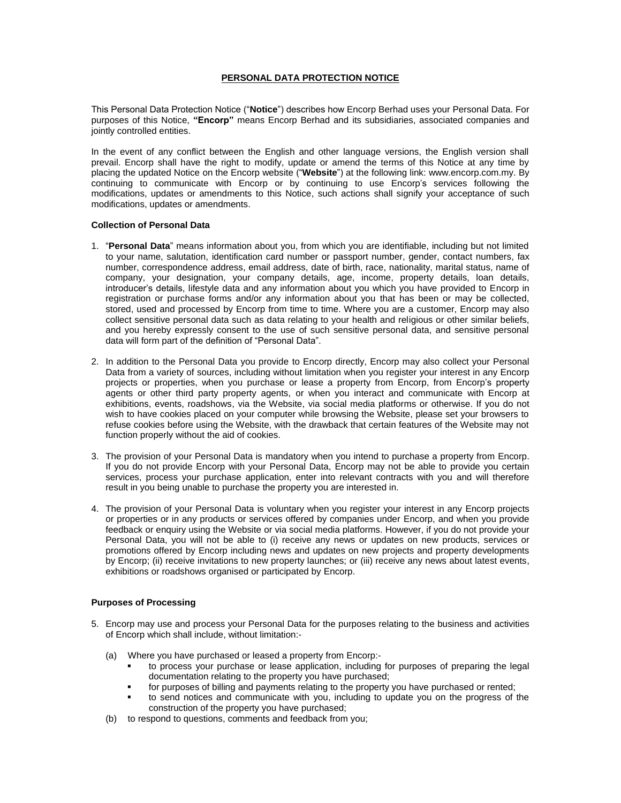# **PERSONAL DATA PROTECTION NOTICE**

This Personal Data Protection Notice ("**Notice**") describes how Encorp Berhad uses your Personal Data. For purposes of this Notice, **"Encorp"** means Encorp Berhad and its subsidiaries, associated companies and jointly controlled entities.

In the event of any conflict between the English and other language versions, the English version shall prevail. Encorp shall have the right to modify, update or amend the terms of this Notice at any time by placing the updated Notice on the Encorp website ("**Website**") at the following link: www.encorp.com.my. By continuing to communicate with Encorp or by continuing to use Encorp's services following the modifications, updates or amendments to this Notice, such actions shall signify your acceptance of such modifications, updates or amendments.

### **Collection of Personal Data**

- 1. "**Personal Data**" means information about you, from which you are identifiable, including but not limited to your name, salutation, identification card number or passport number, gender, contact numbers, fax number, correspondence address, email address, date of birth, race, nationality, marital status, name of company, your designation, your company details, age, income, property details, loan details, introducer's details, lifestyle data and any information about you which you have provided to Encorp in registration or purchase forms and/or any information about you that has been or may be collected, stored, used and processed by Encorp from time to time. Where you are a customer, Encorp may also collect sensitive personal data such as data relating to your health and religious or other similar beliefs, and you hereby expressly consent to the use of such sensitive personal data, and sensitive personal data will form part of the definition of "Personal Data".
- 2. In addition to the Personal Data you provide to Encorp directly, Encorp may also collect your Personal Data from a variety of sources, including without limitation when you register your interest in any Encorp projects or properties, when you purchase or lease a property from Encorp, from Encorp's property agents or other third party property agents, or when you interact and communicate with Encorp at exhibitions, events, roadshows, via the Website, via social media platforms or otherwise. If you do not wish to have cookies placed on your computer while browsing the Website, please set your browsers to refuse cookies before using the Website, with the drawback that certain features of the Website may not function properly without the aid of cookies.
- 3. The provision of your Personal Data is mandatory when you intend to purchase a property from Encorp. If you do not provide Encorp with your Personal Data, Encorp may not be able to provide you certain services, process your purchase application, enter into relevant contracts with you and will therefore result in you being unable to purchase the property you are interested in.
- 4. The provision of your Personal Data is voluntary when you register your interest in any Encorp projects or properties or in any products or services offered by companies under Encorp, and when you provide feedback or enquiry using the Website or via social media platforms. However, if you do not provide your Personal Data, you will not be able to (i) receive any news or updates on new products, services or promotions offered by Encorp including news and updates on new projects and property developments by Encorp; (ii) receive invitations to new property launches; or (iii) receive any news about latest events, exhibitions or roadshows organised or participated by Encorp.

# **Purposes of Processing**

- 5. Encorp may use and process your Personal Data for the purposes relating to the business and activities of Encorp which shall include, without limitation:-
	- (a) Where you have purchased or leased a property from Encorp:
		- to process your purchase or lease application, including for purposes of preparing the legal documentation relating to the property you have purchased;
		- for purposes of billing and payments relating to the property you have purchased or rented;
		- to send notices and communicate with you, including to update you on the progress of the construction of the property you have purchased;
	- (b) to respond to questions, comments and feedback from you;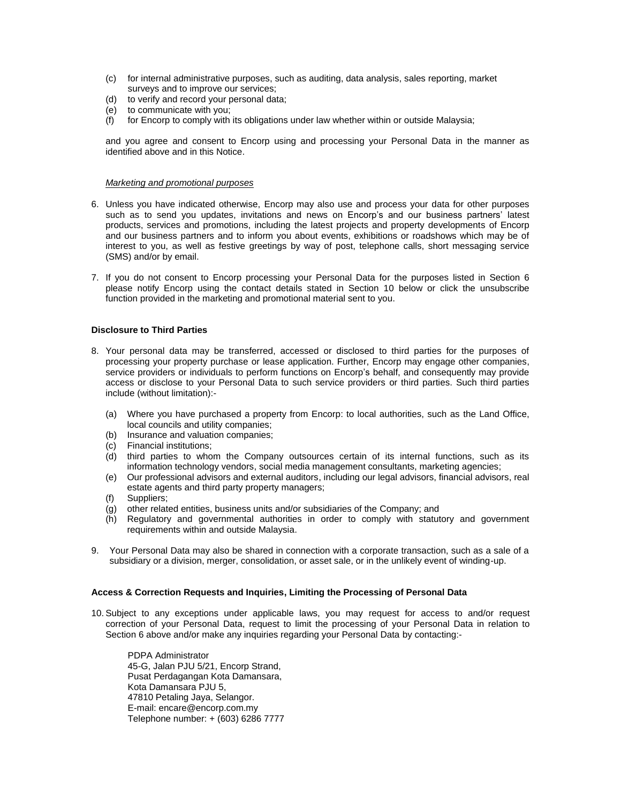- (c) for internal administrative purposes, such as auditing, data analysis, sales reporting, market surveys and to improve our services;
- (d) to verify and record your personal data;
- (e) to communicate with you;
- (f) for Encorp to comply with its obligations under law whether within or outside Malaysia;

and you agree and consent to Encorp using and processing your Personal Data in the manner as identified above and in this Notice.

#### *Marketing and promotional purposes*

- 6. Unless you have indicated otherwise, Encorp may also use and process your data for other purposes such as to send you updates, invitations and news on Encorp's and our business partners' latest products, services and promotions, including the latest projects and property developments of Encorp and our business partners and to inform you about events, exhibitions or roadshows which may be of interest to you, as well as festive greetings by way of post, telephone calls, short messaging service (SMS) and/or by email.
- 7. If you do not consent to Encorp processing your Personal Data for the purposes listed in Section 6 please notify Encorp using the contact details stated in Section 10 below or click the unsubscribe function provided in the marketing and promotional material sent to you.

## **Disclosure to Third Parties**

- 8. Your personal data may be transferred, accessed or disclosed to third parties for the purposes of processing your property purchase or lease application. Further, Encorp may engage other companies, service providers or individuals to perform functions on Encorp's behalf, and consequently may provide access or disclose to your Personal Data to such service providers or third parties. Such third parties include (without limitation):-
	- (a) Where you have purchased a property from Encorp: to local authorities, such as the Land Office, local councils and utility companies;
	- (b) Insurance and valuation companies;
	- (c) Financial institutions;
	- (d) third parties to whom the Company outsources certain of its internal functions, such as its information technology vendors, social media management consultants, marketing agencies;
	- (e) Our professional advisors and external auditors, including our legal advisors, financial advisors, real estate agents and third party property managers;
	- (f) Suppliers;
	- (g) other related entities, business units and/or subsidiaries of the Company; and
	- (h) Regulatory and governmental authorities in order to comply with statutory and government requirements within and outside Malaysia.
- 9. Your Personal Data may also be shared in connection with a corporate transaction, such as a sale of a subsidiary or a division, merger, consolidation, or asset sale, or in the unlikely event of winding-up.

#### **Access & Correction Requests and Inquiries, Limiting the Processing of Personal Data**

10. Subject to any exceptions under applicable laws, you may request for access to and/or request correction of your Personal Data, request to limit the processing of your Personal Data in relation to Section 6 above and/or make any inquiries regarding your Personal Data by contacting:-

PDPA Administrator 45-G, Jalan PJU 5/21, Encorp Strand, Pusat Perdagangan Kota Damansara, Kota Damansara PJU 5, 47810 Petaling Jaya, Selangor. E-mail: encare@encorp.com.my Telephone number: + (603) 6286 7777